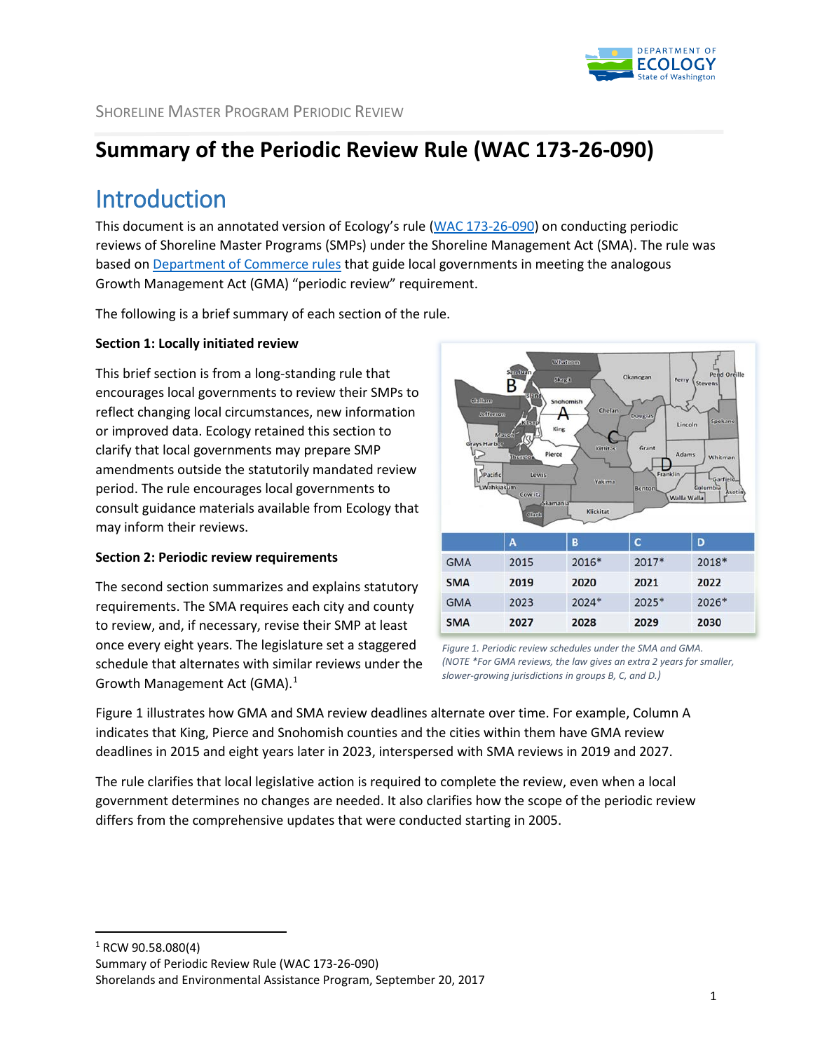

# **Summary of the Periodic Review Rule (WAC 173-26-090)**

# Introduction

This document is an annotated version of Ecology's rule [\(WAC 173-26-090\)](http://app.leg.wa.gov/WAC/default.aspx?cite=173-26-090) on conducting periodic reviews of Shoreline Master Programs (SMPs) under the Shoreline Management Act (SMA). The rule was based on [Department of Commerce rules](http://app.leg.wa.gov/wac/default.aspx?cite=365-196-610) that guide local governments in meeting the analogous Growth Management Act (GMA) "periodic review" requirement.

The following is a brief summary of each section of the rule.

#### **Section 1: Locally initiated review**

This brief section is from a long-standing rule that encourages local governments to review their SMPs to reflect changing local circumstances, new information or improved data. Ecology retained this section to clarify that local governments may prepare SMP amendments outside the statutorily mandated review period. The rule encourages local governments to consult guidance materials available from Ecology that may inform their reviews.

#### **Section 2: Periodic review requirements**

The second section summarizes and explains statutory requirements. The SMA requires each city and county to review, and, if necessary, revise their SMP at least once every eight years. The legislature set a staggered schedule that alternates with similar reviews under the Growth Management Act (GMA).<sup>[1](#page-0-0)</sup>



*Figure 1. Periodic review schedules under the SMA and GMA. (NOTE \*For GMA reviews, the law gives an extra 2 years for smaller, slower-growing jurisdictions in groups B, C, and D.)*

Figure 1 illustrates how GMA and SMA review deadlines alternate over time. For example, Column A indicates that King, Pierce and Snohomish counties and the cities within them have GMA review deadlines in 2015 and eight years later in 2023, interspersed with SMA reviews in 2019 and 2027.

The rule clarifies that local legislative action is required to complete the review, even when a local government determines no changes are needed. It also clarifies how the scope of the periodic review differs from the comprehensive updates that were conducted starting in 2005.

<span id="page-0-0"></span>1 RCW 90.58.080(4)

Summary of Periodic Review Rule (WAC 173-26-090)

Shorelands and Environmental Assistance Program, September 20, 2017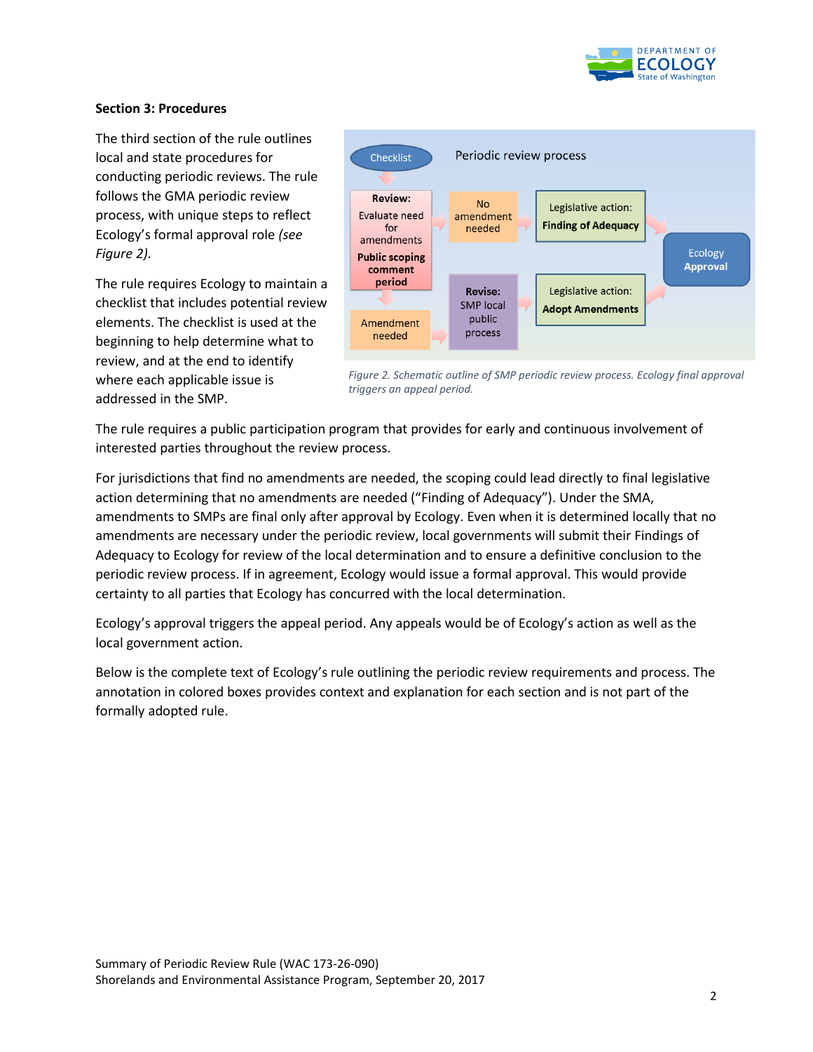

#### **Section 3: Procedures**

The third section of the rule outlines local and state procedures for conducting periodic reviews. The rule follows the GMA periodic review process, with unique steps to reflect Ecology's formal approval role *(see Figure 2).*

The rule requires Ecology to maintain a checklist that includes potential review elements. The checklist is used at the beginning to help determine what to review, and at the end to identify where each applicable issue is addressed in the SMP.



*Figure 2. Schematic outline of SMP periodic review process. Ecology final approval triggers an appeal period.*

The rule requires a public participation program that provides for early and continuous involvement of interested parties throughout the review process.

For jurisdictions that find no amendments are needed, the scoping could lead directly to final legislative action determining that no amendments are needed ("Finding of Adequacy"). Under the SMA, amendments to SMPs are final only after approval by Ecology. Even when it is determined locally that no amendments are necessary under the periodic review, local governments will submit their Findings of Adequacy to Ecology for review of the local determination and to ensure a definitive conclusion to the periodic review process. If in agreement, Ecology would issue a formal approval. This would provide certainty to all parties that Ecology has concurred with the local determination.

Ecology's approval triggers the appeal period. Any appeals would be of Ecology's action as well as the local government action.

Below is the complete text of Ecology's rule outlining the periodic review requirements and process. The annotation in colored boxes provides context and explanation for each section and is not part of the formally adopted rule.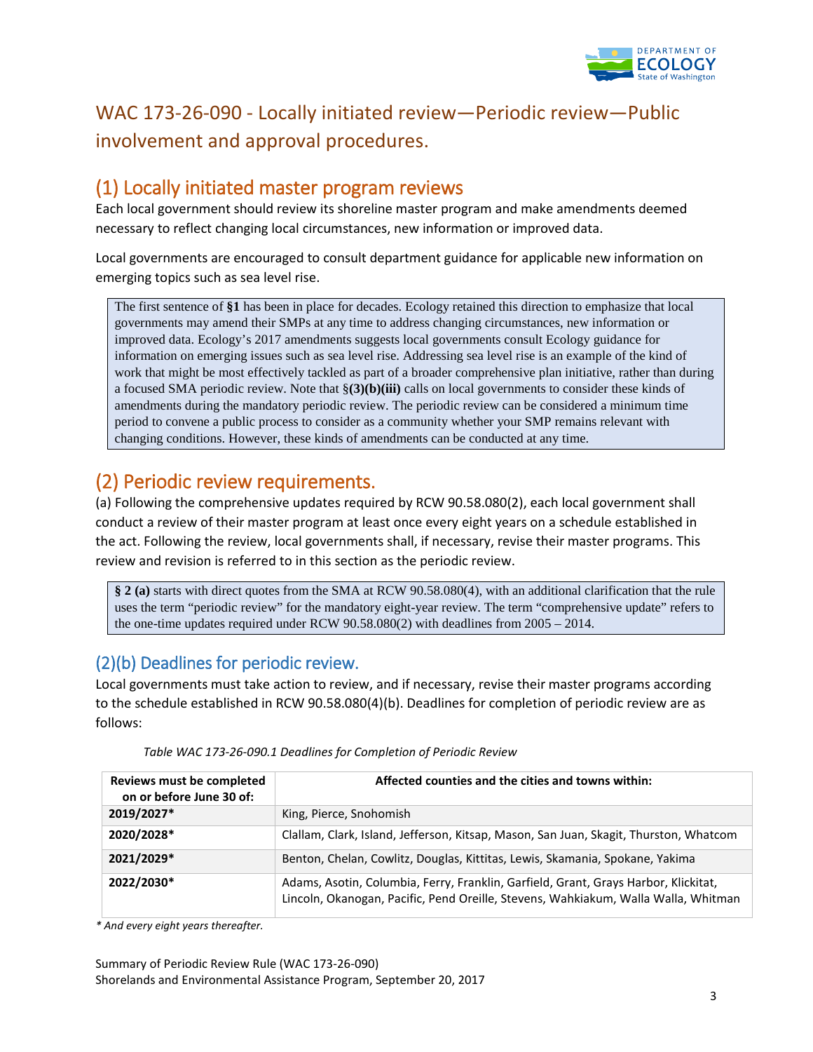

## WAC 173-26-090 - Locally initiated review—Periodic review—Public involvement and approval procedures.

## (1) Locally initiated master program reviews

Each local government should review its shoreline master program and make amendments deemed necessary to reflect changing local circumstances, new information or improved data.

Local governments are encouraged to consult department guidance for applicable new information on emerging topics such as sea level rise.

The first sentence of **§1** has been in place for decades. Ecology retained this direction to emphasize that local governments may amend their SMPs at any time to address changing circumstances, new information or improved data. Ecology's 2017 amendments suggests local governments consult Ecology guidance for information on emerging issues such as sea level rise. Addressing sea level rise is an example of the kind of work that might be most effectively tackled as part of a broader comprehensive plan initiative, rather than during a focused SMA periodic review. Note that §**(3)(b)(iii)** calls on local governments to consider these kinds of amendments during the mandatory periodic review. The periodic review can be considered a minimum time period to convene a public process to consider as a community whether your SMP remains relevant with changing conditions. However, these kinds of amendments can be conducted at any time.

## (2) Periodic review requirements.

(a) Following the comprehensive updates required by RCW 90.58.080(2), each local government shall conduct a review of their master program at least once every eight years on a schedule established in the act. Following the review, local governments shall, if necessary, revise their master programs. This review and revision is referred to in this section as the periodic review.

**§ 2 (a)** starts with direct quotes from the SMA at RCW 90.58.080(4), with an additional clarification that the rule uses the term "periodic review" for the mandatory eight-year review. The term "comprehensive update" refers to the one-time updates required under RCW 90.58.080(2) with deadlines from 2005 – 2014.

## (2)(b) Deadlines for periodic review.

Local governments must take action to review, and if necessary, revise their master programs according to the schedule established in RCW 90.58.080(4)(b). Deadlines for completion of periodic review are as follows:

| Reviews must be completed<br>on or before June 30 of: | Affected counties and the cities and towns within:                                                                                                                        |
|-------------------------------------------------------|---------------------------------------------------------------------------------------------------------------------------------------------------------------------------|
| 2019/2027*                                            | King, Pierce, Snohomish                                                                                                                                                   |
| 2020/2028*                                            | Clallam, Clark, Island, Jefferson, Kitsap, Mason, San Juan, Skagit, Thurston, Whatcom                                                                                     |
| 2021/2029*                                            | Benton, Chelan, Cowlitz, Douglas, Kittitas, Lewis, Skamania, Spokane, Yakima                                                                                              |
| 2022/2030*                                            | Adams, Asotin, Columbia, Ferry, Franklin, Garfield, Grant, Grays Harbor, Klickitat,<br>Lincoln, Okanogan, Pacific, Pend Oreille, Stevens, Wahkiakum, Walla Walla, Whitman |

*Table WAC 173-26-090.1 Deadlines for Completion of Periodic Review*

*\* And every eight years thereafter.*

Summary of Periodic Review Rule (WAC 173-26-090) Shorelands and Environmental Assistance Program, September 20, 2017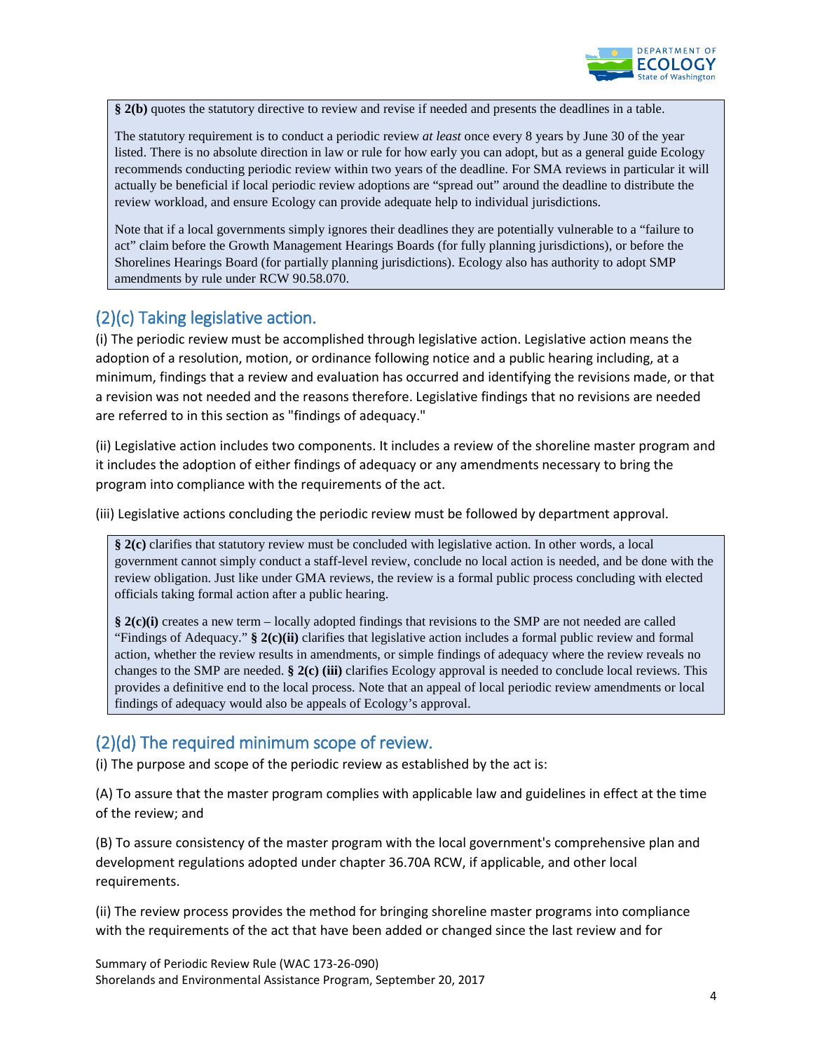

**§ 2(b)** quotes the statutory directive to review and revise if needed and presents the deadlines in a table.

The statutory requirement is to conduct a periodic review *at least* once every 8 years by June 30 of the year listed. There is no absolute direction in law or rule for how early you can adopt, but as a general guide Ecology recommends conducting periodic review within two years of the deadline. For SMA reviews in particular it will actually be beneficial if local periodic review adoptions are "spread out" around the deadline to distribute the review workload, and ensure Ecology can provide adequate help to individual jurisdictions.

Note that if a local governments simply ignores their deadlines they are potentially vulnerable to a "failure to act" claim before the Growth Management Hearings Boards (for fully planning jurisdictions), or before the Shorelines Hearings Board (for partially planning jurisdictions). Ecology also has authority to adopt SMP amendments by rule under RCW 90.58.070.

## (2)(c) Taking legislative action.

(i) The periodic review must be accomplished through legislative action. Legislative action means the adoption of a resolution, motion, or ordinance following notice and a public hearing including, at a minimum, findings that a review and evaluation has occurred and identifying the revisions made, or that a revision was not needed and the reasons therefore. Legislative findings that no revisions are needed are referred to in this section as "findings of adequacy."

(ii) Legislative action includes two components. It includes a review of the shoreline master program and it includes the adoption of either findings of adequacy or any amendments necessary to bring the program into compliance with the requirements of the act.

(iii) Legislative actions concluding the periodic review must be followed by department approval.

§ 2(c) clarifies that statutory review must be concluded with legislative action. In other words, a local government cannot simply conduct a staff-level review, conclude no local action is needed, and be done with the review obligation. Just like under GMA reviews, the review is a formal public process concluding with elected officials taking formal action after a public hearing.

**§ 2(c)(i)** creates a new term – locally adopted findings that revisions to the SMP are not needed are called "Findings of Adequacy." **§ 2(c)(ii)** clarifies that legislative action includes a formal public review and formal action, whether the review results in amendments, or simple findings of adequacy where the review reveals no changes to the SMP are needed. **§ 2(c) (iii)** clarifies Ecology approval is needed to conclude local reviews. This provides a definitive end to the local process. Note that an appeal of local periodic review amendments or local findings of adequacy would also be appeals of Ecology's approval.

#### (2)(d) The required minimum scope of review.

(i) The purpose and scope of the periodic review as established by the act is:

(A) To assure that the master program complies with applicable law and guidelines in effect at the time of the review; and

(B) To assure consistency of the master program with the local government's comprehensive plan and development regulations adopted under chapter 36.70A RCW, if applicable, and other local requirements.

(ii) The review process provides the method for bringing shoreline master programs into compliance with the requirements of the act that have been added or changed since the last review and for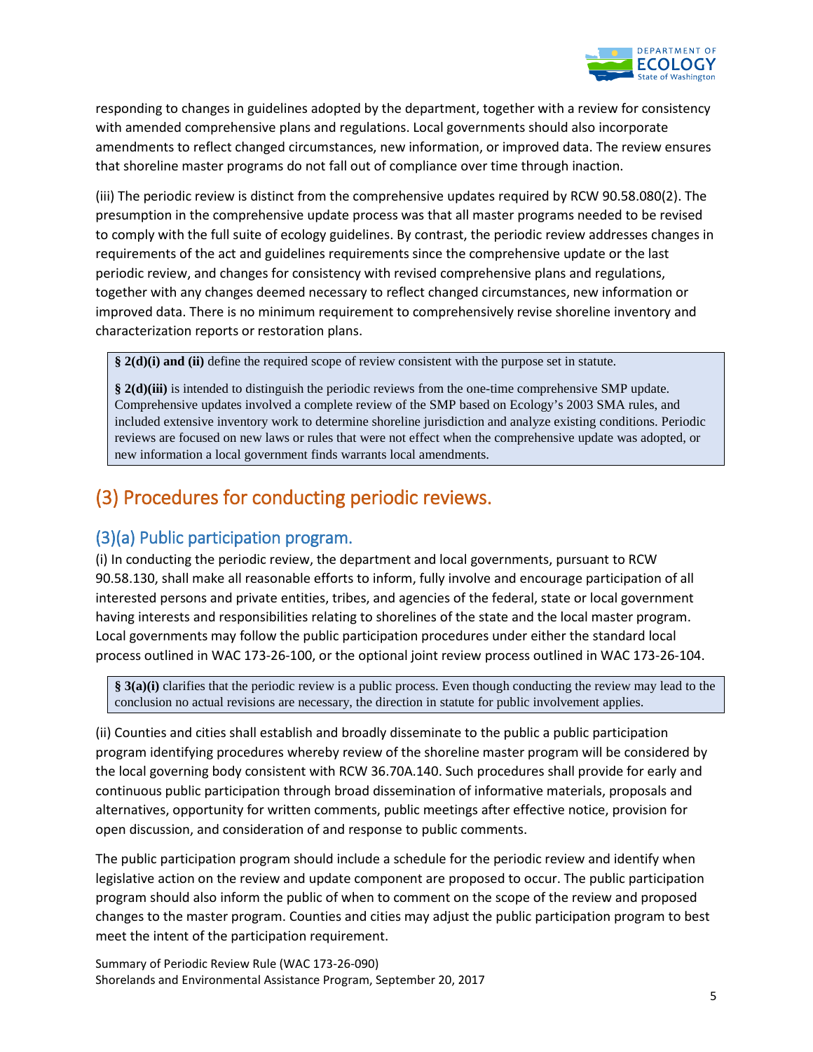

responding to changes in guidelines adopted by the department, together with a review for consistency with amended comprehensive plans and regulations. Local governments should also incorporate amendments to reflect changed circumstances, new information, or improved data. The review ensures that shoreline master programs do not fall out of compliance over time through inaction.

(iii) The periodic review is distinct from the comprehensive updates required by RCW 90.58.080(2). The presumption in the comprehensive update process was that all master programs needed to be revised to comply with the full suite of ecology guidelines. By contrast, the periodic review addresses changes in requirements of the act and guidelines requirements since the comprehensive update or the last periodic review, and changes for consistency with revised comprehensive plans and regulations, together with any changes deemed necessary to reflect changed circumstances, new information or improved data. There is no minimum requirement to comprehensively revise shoreline inventory and characterization reports or restoration plans.

**§ 2(d)(i) and (ii)** define the required scope of review consistent with the purpose set in statute.

**§ 2(d)(iii)** is intended to distinguish the periodic reviews from the one-time comprehensive SMP update. Comprehensive updates involved a complete review of the SMP based on Ecology's 2003 SMA rules, and included extensive inventory work to determine shoreline jurisdiction and analyze existing conditions. Periodic reviews are focused on new laws or rules that were not effect when the comprehensive update was adopted, or new information a local government finds warrants local amendments.

## (3) Procedures for conducting periodic reviews.

#### (3)(a) Public participation program.

(i) In conducting the periodic review, the department and local governments, pursuant to RCW 90.58.130, shall make all reasonable efforts to inform, fully involve and encourage participation of all interested persons and private entities, tribes, and agencies of the federal, state or local government having interests and responsibilities relating to shorelines of the state and the local master program. Local governments may follow the public participation procedures under either the standard local process outlined in WAC 173-26-100, or the optional joint review process outlined in WAC 173-26-104.

**§ 3(a)(i)** clarifies that the periodic review is a public process. Even though conducting the review may lead to the conclusion no actual revisions are necessary, the direction in statute for public involvement applies.

(ii) Counties and cities shall establish and broadly disseminate to the public a public participation program identifying procedures whereby review of the shoreline master program will be considered by the local governing body consistent with RCW 36.70A.140. Such procedures shall provide for early and continuous public participation through broad dissemination of informative materials, proposals and alternatives, opportunity for written comments, public meetings after effective notice, provision for open discussion, and consideration of and response to public comments.

The public participation program should include a schedule for the periodic review and identify when legislative action on the review and update component are proposed to occur. The public participation program should also inform the public of when to comment on the scope of the review and proposed changes to the master program. Counties and cities may adjust the public participation program to best meet the intent of the participation requirement.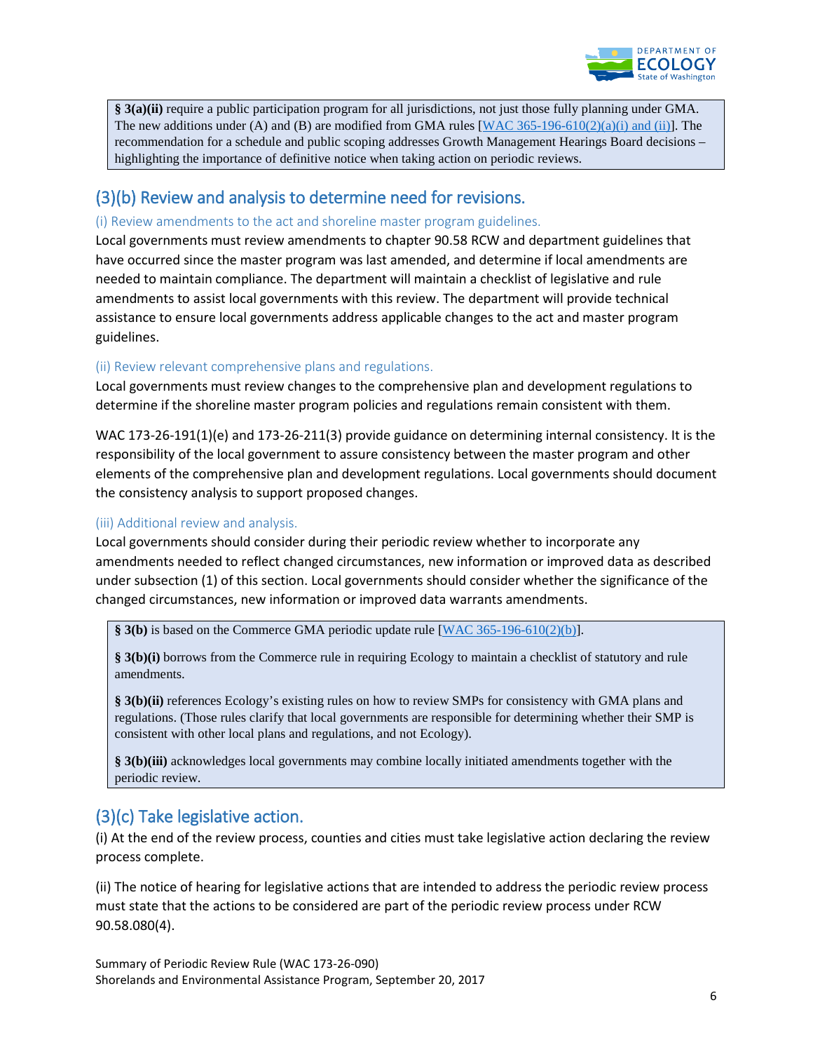

**§ 3(a)(ii)** require a public participation program for all jurisdictions, not just those fully planning under GMA. The new additions under (A) and (B) are modified from GMA rules  $[WAC 365-196-610(2)(a)(i)$  and (ii)]. The recommendation for a schedule and public scoping addresses Growth Management Hearings Board decisions – highlighting the importance of definitive notice when taking action on periodic reviews.

### (3)(b) Review and analysis to determine need for revisions.

#### (i) Review amendments to the act and shoreline master program guidelines.

Local governments must review amendments to chapter 90.58 RCW and department guidelines that have occurred since the master program was last amended, and determine if local amendments are needed to maintain compliance. The department will maintain a checklist of legislative and rule amendments to assist local governments with this review. The department will provide technical assistance to ensure local governments address applicable changes to the act and master program guidelines.

#### (ii) Review relevant comprehensive plans and regulations.

Local governments must review changes to the comprehensive plan and development regulations to determine if the shoreline master program policies and regulations remain consistent with them.

WAC 173-26-191(1)(e) and 173-26-211(3) provide guidance on determining internal consistency. It is the responsibility of the local government to assure consistency between the master program and other elements of the comprehensive plan and development regulations. Local governments should document the consistency analysis to support proposed changes.

#### (iii) Additional review and analysis.

Local governments should consider during their periodic review whether to incorporate any amendments needed to reflect changed circumstances, new information or improved data as described under subsection (1) of this section. Local governments should consider whether the significance of the changed circumstances, new information or improved data warrants amendments.

**§ 3(b)** is based on the Commerce GMA periodic update rule [\[WAC 365-196-610\(2\)\(b\)\]](http://app.leg.wa.gov/wac/default.aspx?cite=365-196-610).

**§ 3(b)(i)** borrows from the Commerce rule in requiring Ecology to maintain a checklist of statutory and rule amendments.

**§ 3(b)(ii)** references Ecology's existing rules on how to review SMPs for consistency with GMA plans and regulations. (Those rules clarify that local governments are responsible for determining whether their SMP is consistent with other local plans and regulations, and not Ecology).

**§ 3(b)(iii)** acknowledges local governments may combine locally initiated amendments together with the periodic review.

## (3)(c) Take legislative action.

(i) At the end of the review process, counties and cities must take legislative action declaring the review process complete.

(ii) The notice of hearing for legislative actions that are intended to address the periodic review process must state that the actions to be considered are part of the periodic review process under RCW 90.58.080(4).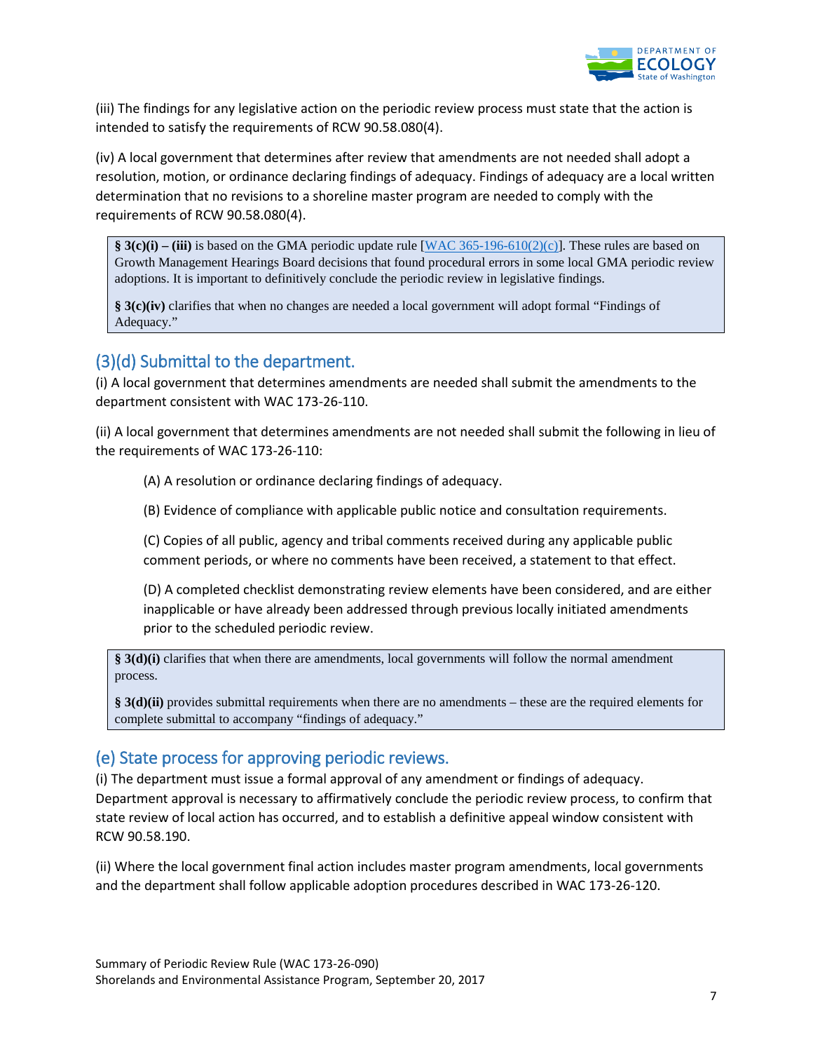

(iii) The findings for any legislative action on the periodic review process must state that the action is intended to satisfy the requirements of RCW 90.58.080(4).

(iv) A local government that determines after review that amendments are not needed shall adopt a resolution, motion, or ordinance declaring findings of adequacy. Findings of adequacy are a local written determination that no revisions to a shoreline master program are needed to comply with the requirements of RCW 90.58.080(4).

**§ 3(c)(i) – (iii)** is based on the GMA periodic update rule [\[WAC 365-196-610\(2\)\(c\)\]](http://app.leg.wa.gov/wac/default.aspx?cite=365-196-610). These rules are based on Growth Management Hearings Board decisions that found procedural errors in some local GMA periodic review adoptions. It is important to definitively conclude the periodic review in legislative findings.

**§ 3(c)(iv)** clarifies that when no changes are needed a local government will adopt formal "Findings of Adequacy."

### (3)(d) Submittal to the department.

(i) A local government that determines amendments are needed shall submit the amendments to the department consistent with WAC 173-26-110.

(ii) A local government that determines amendments are not needed shall submit the following in lieu of the requirements of WAC 173-26-110:

(A) A resolution or ordinance declaring findings of adequacy.

(B) Evidence of compliance with applicable public notice and consultation requirements.

(C) Copies of all public, agency and tribal comments received during any applicable public comment periods, or where no comments have been received, a statement to that effect.

(D) A completed checklist demonstrating review elements have been considered, and are either inapplicable or have already been addressed through previous locally initiated amendments prior to the scheduled periodic review.

**§ 3(d)(i)** clarifies that when there are amendments, local governments will follow the normal amendment process.

**§ 3(d)(ii)** provides submittal requirements when there are no amendments – these are the required elements for complete submittal to accompany "findings of adequacy."

## (e) State process for approving periodic reviews.

(i) The department must issue a formal approval of any amendment or findings of adequacy. Department approval is necessary to affirmatively conclude the periodic review process, to confirm that state review of local action has occurred, and to establish a definitive appeal window consistent with RCW 90.58.190.

(ii) Where the local government final action includes master program amendments, local governments and the department shall follow applicable adoption procedures described in WAC 173-26-120.